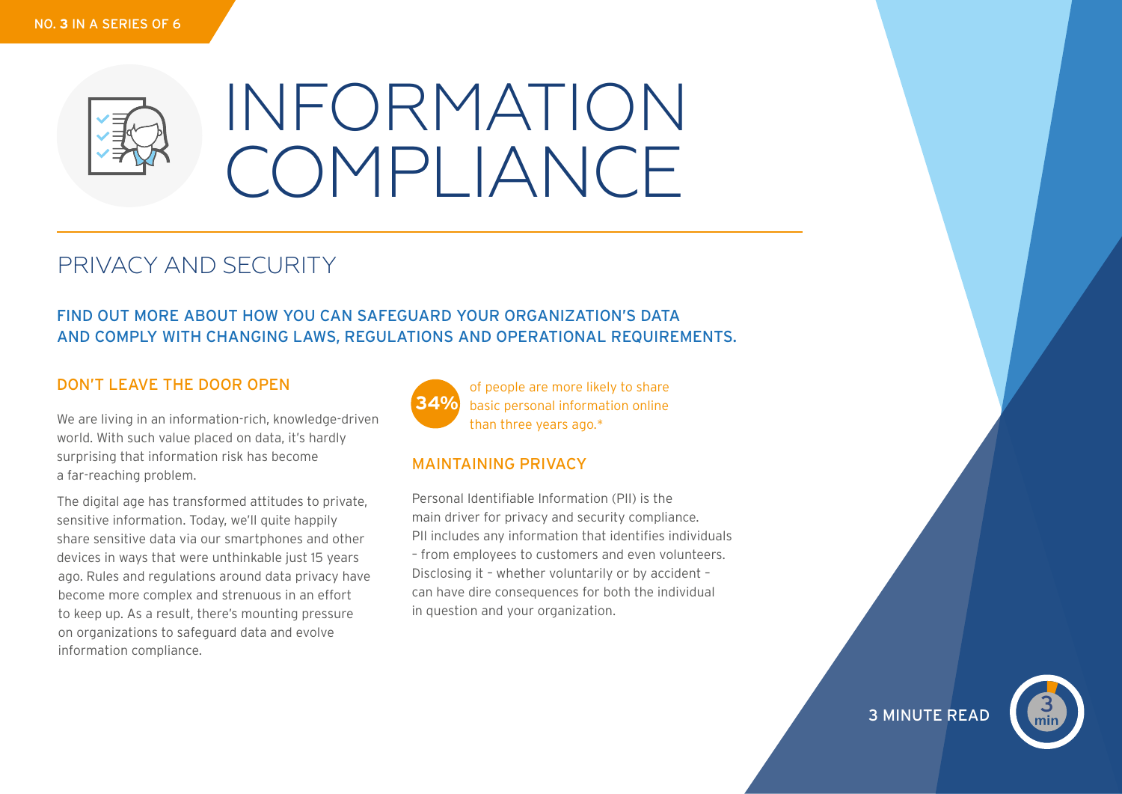

# INFORMATION COMPLIANCE

## PRIVACY AND SECURITY

## FIND OUT MORE ABOUT HOW YOU CAN SAFEGUARD YOUR ORGANIZATION'S DATA AND COMPLY WITH CHANGING LAWS, REGULATIONS AND OPERATIONAL REQUIREMENTS.

## DON'T LEAVE THE DOOR OPEN

We are living in an information-rich, knowledge-driven world. With such value placed on data, it's hardly surprising that information risk has become a far-reaching problem.

The digital age has transformed attitudes to private, sensitive information. Today, we'll quite happily share sensitive data via our smartphones and other devices in ways that were unthinkable just 15 years ago. Rules and regulations around data privacy have become more complex and strenuous in an effort to keep up. As a result, there's mounting pressure on organizations to safeguard data and evolve information compliance.



of people are more likely to share basic personal information online than three years ago.\*

## MAINTAINING PRIVACY

Personal Identifiable Information (PII) is the main driver for privacy and security compliance. PII includes any information that identifies individuals – from employees to customers and even volunteers. Disclosing it – whether voluntarily or by accident – can have dire consequences for both the individual in question and your organization.

## **3 MINUTE READ**